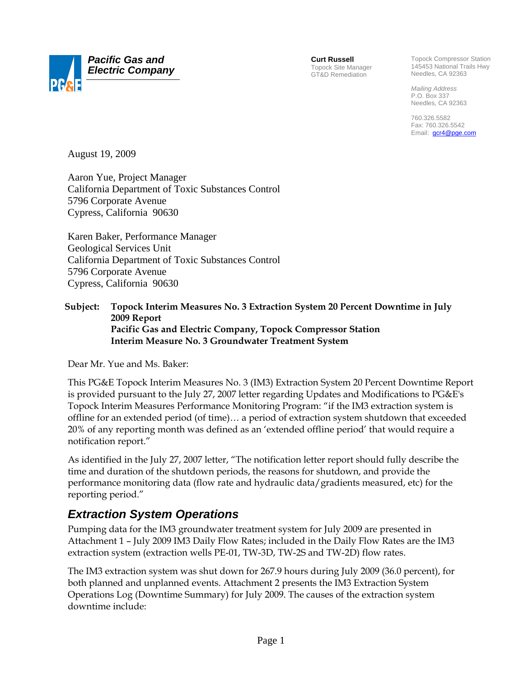

**Curt Russell** Topock Site Manager GT&D Remediation

Topock Compressor Station 145453 National Trails Hwy Needles, CA 92363

*Mailing Address*  P.O. Box 337 Needles, CA 92363

760.326.5582 Fax: 760.326.5542 Email: gcr4@pge.com

August 19, 2009

Aaron Yue, Project Manager California Department of Toxic Substances Control 5796 Corporate Avenue Cypress, California 90630

Karen Baker, Performance Manager Geological Services Unit California Department of Toxic Substances Control 5796 Corporate Avenue Cypress, California 90630

### **Subject: Topock Interim Measures No. 3 Extraction System 20 Percent Downtime in July 2009 Report Pacific Gas and Electric Company, Topock Compressor Station Interim Measure No. 3 Groundwater Treatment System**

Dear Mr. Yue and Ms. Baker:

This PG&E Topock Interim Measures No. 3 (IM3) Extraction System 20 Percent Downtime Report is provided pursuant to the July 27, 2007 letter regarding Updates and Modifications to PG&E's Topock Interim Measures Performance Monitoring Program: "if the IM3 extraction system is offline for an extended period (of time)… a period of extraction system shutdown that exceeded 20% of any reporting month was defined as an 'extended offline period' that would require a notification report."

As identified in the July 27, 2007 letter, "The notification letter report should fully describe the time and duration of the shutdown periods, the reasons for shutdown, and provide the performance monitoring data (flow rate and hydraulic data/gradients measured, etc) for the reporting period."

# *Extraction System Operations*

Pumping data for the IM3 groundwater treatment system for July 2009 are presented in Attachment 1 – July 2009 IM3 Daily Flow Rates; included in the Daily Flow Rates are the IM3 extraction system (extraction wells PE-01, TW-3D, TW-2S and TW-2D) flow rates.

The IM3 extraction system was shut down for 267.9 hours during July 2009 (36.0 percent), for both planned and unplanned events. Attachment 2 presents the IM3 Extraction System Operations Log (Downtime Summary) for July 2009. The causes of the extraction system downtime include: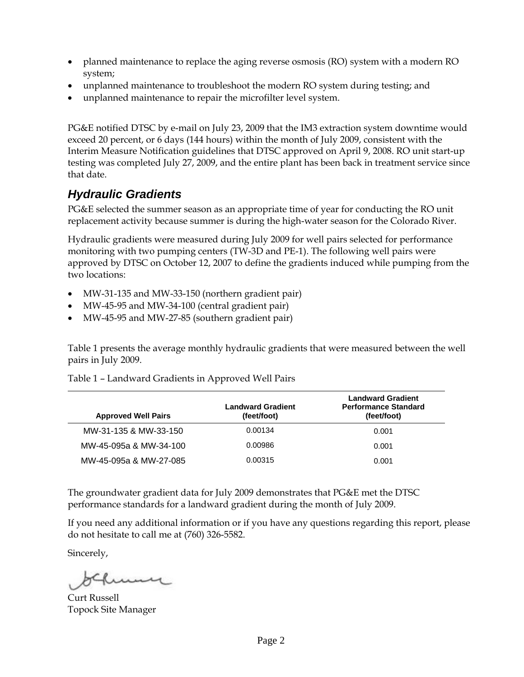- planned maintenance to replace the aging reverse osmosis (RO) system with a modern RO system;
- unplanned maintenance to troubleshoot the modern RO system during testing; and
- unplanned maintenance to repair the microfilter level system.

PG&E notified DTSC by e-mail on July 23, 2009 that the IM3 extraction system downtime would exceed 20 percent, or 6 days (144 hours) within the month of July 2009, consistent with the Interim Measure Notification guidelines that DTSC approved on April 9, 2008. RO unit start-up testing was completed July 27, 2009, and the entire plant has been back in treatment service since that date.

# *Hydraulic Gradients*

PG&E selected the summer season as an appropriate time of year for conducting the RO unit replacement activity because summer is during the high-water season for the Colorado River.

Hydraulic gradients were measured during July 2009 for well pairs selected for performance monitoring with two pumping centers (TW-3D and PE-1). The following well pairs were approved by DTSC on October 12, 2007 to define the gradients induced while pumping from the two locations:

- MW-31-135 and MW-33-150 (northern gradient pair)
- MW-45-95 and MW-34-100 (central gradient pair)
- MW-45-95 and MW-27-85 (southern gradient pair)

Table 1 presents the average monthly hydraulic gradients that were measured between the well pairs in July 2009.

| <b>Approved Well Pairs</b> | <b>Landward Gradient</b><br>(feet/foot) | <b>Landward Gradient</b><br><b>Performance Standard</b><br>(feet/foot) |
|----------------------------|-----------------------------------------|------------------------------------------------------------------------|
| MW-31-135 & MW-33-150      | 0.00134                                 | 0.001                                                                  |
| MW-45-095a & MW-34-100     | 0.00986                                 | 0.001                                                                  |
| MW-45-095a & MW-27-085     | 0.00315                                 | 0.001                                                                  |

Table 1 – Landward Gradients in Approved Well Pairs

The groundwater gradient data for July 2009 demonstrates that PG&E met the DTSC performance standards for a landward gradient during the month of July 2009.

If you need any additional information or if you have any questions regarding this report, please do not hesitate to call me at (760) 326-5582.

Sincerely,

Curt Russell Topock Site Manager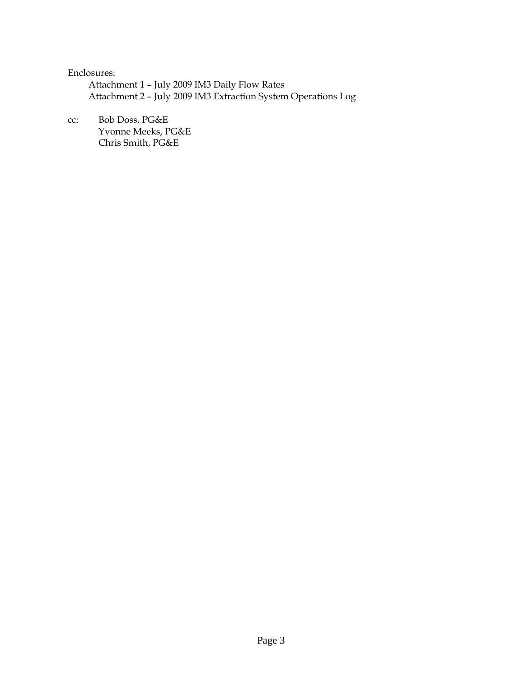#### Enclosures:

 Attachment 1 – July 2009 IM3 Daily Flow Rates Attachment 2 – July 2009 IM3 Extraction System Operations Log

cc: Bob Doss, PG&E Yvonne Meeks, PG&E Chris Smith, PG&E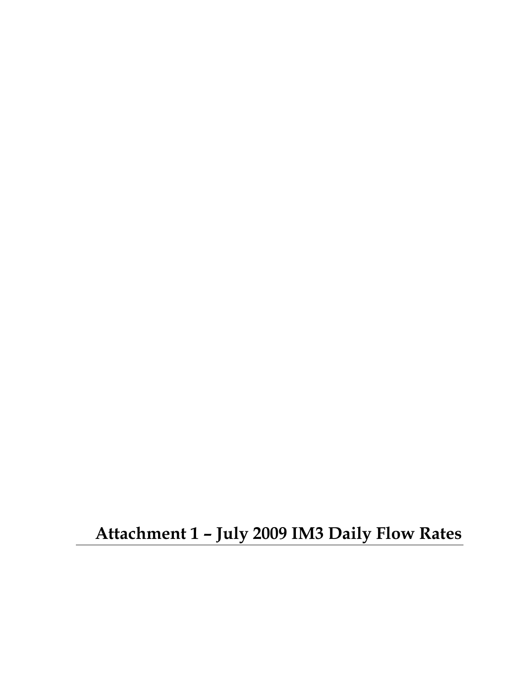**Attachment 1 – July 2009 IM3 Daily Flow Rates**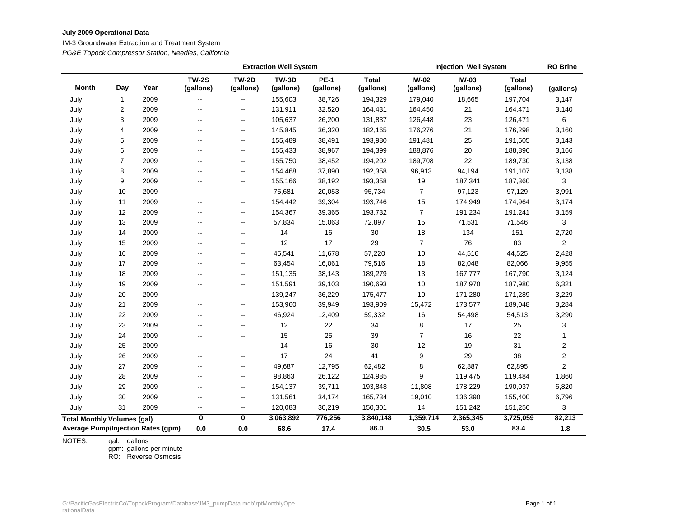#### **July 2009 Operational Data**

IM-3 Groundwater Extraction and Treatment System

*PG&E Topock Compressor Station, Needles, California*

|                                    |                         |                                           | <b>Extraction Well System</b> |                           |                           |                          | <b>Injection Well System</b> |                           |                           | <b>RO Brine</b>           |                  |
|------------------------------------|-------------------------|-------------------------------------------|-------------------------------|---------------------------|---------------------------|--------------------------|------------------------------|---------------------------|---------------------------|---------------------------|------------------|
| <b>Month</b>                       | Day                     | Year                                      | <b>TW-2S</b><br>(gallons)     | <b>TW-2D</b><br>(gallons) | <b>TW-3D</b><br>(gallons) | <b>PE-1</b><br>(gallons) | <b>Total</b><br>(gallons)    | <b>IW-02</b><br>(gallons) | <b>IW-03</b><br>(gallons) | <b>Total</b><br>(gallons) | (gallons)        |
| July                               | $\mathbf{1}$            | 2009                                      |                               | --                        | 155,603                   | 38,726                   | 194,329                      | 179,040                   | 18,665                    | 197,704                   | 3,147            |
| July                               | $\overline{\mathbf{c}}$ | 2009                                      | $\overline{a}$                | $\overline{\phantom{a}}$  | 131,911                   | 32,520                   | 164,431                      | 164,450                   | 21                        | 164,471                   | 3,140            |
| July                               | 3                       | 2009                                      | $\overline{\phantom{a}}$      | --                        | 105,637                   | 26,200                   | 131,837                      | 126,448                   | 23                        | 126,471                   | 6                |
| July                               | 4                       | 2009                                      | $\overline{\phantom{a}}$      | $\overline{\phantom{a}}$  | 145,845                   | 36,320                   | 182,165                      | 176,276                   | 21                        | 176,298                   | 3,160            |
| July                               | 5                       | 2009                                      | $\overline{\phantom{a}}$      | $\overline{\phantom{a}}$  | 155,489                   | 38,491                   | 193,980                      | 191,481                   | 25                        | 191,505                   | 3,143            |
| July                               | 6                       | 2009                                      | $\overline{\phantom{a}}$      | $\overline{\phantom{a}}$  | 155,433                   | 38,967                   | 194,399                      | 188,876                   | 20                        | 188,896                   | 3,166            |
| July                               | 7                       | 2009                                      | $\overline{a}$                | $\overline{\phantom{a}}$  | 155,750                   | 38,452                   | 194,202                      | 189,708                   | 22                        | 189,730                   | 3,138            |
| July                               | 8                       | 2009                                      | $\overline{a}$                | $\overline{\phantom{a}}$  | 154,468                   | 37,890                   | 192,358                      | 96,913                    | 94,194                    | 191,107                   | 3,138            |
| July                               | 9                       | 2009                                      | $\overline{a}$                | $\overline{\phantom{a}}$  | 155,166                   | 38,192                   | 193,358                      | 19                        | 187,341                   | 187,360                   | 3                |
| July                               | 10                      | 2009                                      | $\overline{\phantom{a}}$      | --                        | 75,681                    | 20,053                   | 95,734                       | $\overline{7}$            | 97,123                    | 97,129                    | 3,991            |
| July                               | 11                      | 2009                                      | $\overline{\phantom{a}}$      | $\overline{\phantom{a}}$  | 154,442                   | 39,304                   | 193,746                      | 15                        | 174,949                   | 174,964                   | 3,174            |
| July                               | 12                      | 2009                                      | $\overline{\phantom{a}}$      | $\overline{\phantom{a}}$  | 154,367                   | 39,365                   | 193,732                      | $\overline{7}$            | 191,234                   | 191,241                   | 3,159            |
| July                               | 13                      | 2009                                      | $\overline{\phantom{a}}$      | $\overline{\phantom{a}}$  | 57,834                    | 15,063                   | 72,897                       | 15                        | 71,531                    | 71,546                    | 3                |
| July                               | 14                      | 2009                                      | $\overline{\phantom{a}}$      | --                        | 14                        | 16                       | $30\,$                       | 18                        | 134                       | 151                       | 2,720            |
| July                               | 15                      | 2009                                      | $\overline{a}$                | ——                        | 12                        | 17                       | 29                           | $\overline{7}$            | 76                        | 83                        | $\overline{2}$   |
| July                               | 16                      | 2009                                      | $\overline{\phantom{a}}$      | --                        | 45,541                    | 11,678                   | 57,220                       | 10                        | 44,516                    | 44,525                    | 2,428            |
| July                               | 17                      | 2009                                      | $\overline{\phantom{a}}$      | $\overline{\phantom{a}}$  | 63,454                    | 16,061                   | 79,516                       | 18                        | 82,048                    | 82,066                    | 9,955            |
| July                               | 18                      | 2009                                      |                               | $\overline{\phantom{a}}$  | 151,135                   | 38,143                   | 189,279                      | 13                        | 167,777                   | 167,790                   | 3,124            |
| July                               | 19                      | 2009                                      | $\overline{\phantom{a}}$      | $\overline{\phantom{a}}$  | 151,591                   | 39,103                   | 190,693                      | 10                        | 187,970                   | 187,980                   | 6,321            |
| July                               | 20                      | 2009                                      | $\overline{\phantom{a}}$      | $\overline{\phantom{a}}$  | 139,247                   | 36,229                   | 175,477                      | 10                        | 171,280                   | 171,289                   | 3,229            |
| July                               | 21                      | 2009                                      | $\overline{\phantom{a}}$      | $\overline{\phantom{a}}$  | 153,960                   | 39,949                   | 193,909                      | 15,472                    | 173,577                   | 189,048                   | 3,284            |
| July                               | 22                      | 2009                                      |                               | -−                        | 46,924                    | 12,409                   | 59,332                       | 16                        | 54,498                    | 54,513                    | 3,290            |
| July                               | 23                      | 2009                                      | $\overline{\phantom{a}}$      | $\overline{\phantom{a}}$  | 12                        | 22                       | 34                           | 8                         | 17                        | 25                        | 3                |
| July                               | 24                      | 2009                                      | $\overline{\phantom{a}}$      | -−                        | 15                        | 25                       | 39                           | $\overline{7}$            | 16                        | 22                        | $\mathbf{1}$     |
| July                               | 25                      | 2009                                      | $\overline{\phantom{a}}$      | ——                        | 14                        | 16                       | 30                           | 12                        | 19                        | 31                        | 2                |
| July                               | 26                      | 2009                                      | $\overline{\phantom{a}}$      | $\overline{\phantom{a}}$  | 17                        | 24                       | 41                           | 9                         | 29                        | 38                        | $\boldsymbol{2}$ |
| July                               | 27                      | 2009                                      | $\overline{\phantom{a}}$      | --                        | 49,687                    | 12,795                   | 62,482                       | 8                         | 62,887                    | 62,895                    | $\overline{c}$   |
| July                               | 28                      | 2009                                      | $\overline{a}$                | $\overline{\phantom{a}}$  | 98,863                    | 26,122                   | 124,985                      | 9                         | 119,475                   | 119,484                   | 1,860            |
| July                               | 29                      | 2009                                      | $\overline{\phantom{a}}$      | $\overline{\phantom{a}}$  | 154,137                   | 39,711                   | 193,848                      | 11,808                    | 178,229                   | 190,037                   | 6,820            |
| July                               | 30                      | 2009                                      | $\overline{\phantom{a}}$      | $\overline{\phantom{a}}$  | 131,561                   | 34,174                   | 165,734                      | 19,010                    | 136,390                   | 155,400                   | 6,796            |
| July                               | 31                      | 2009                                      | $\overline{\phantom{a}}$      | $\overline{\phantom{a}}$  | 120,083                   | 30,219                   | 150,301                      | 14                        | 151,242                   | 151,256                   | 3                |
| <b>Total Monthly Volumes (gal)</b> |                         |                                           | $\overline{\mathbf{0}}$       | $\overline{\mathbf{0}}$   | 3,063,892                 | 776,256                  | 3,840,148                    | 1,359,714                 | 2,365,345                 | 3,725,059                 | 82,213           |
|                                    |                         | <b>Average Pump/Injection Rates (gpm)</b> | 0.0                           | 0.0                       | 68.6                      | 17.4                     | 86.0                         | 30.5                      | 53.0                      | 83.4                      | 1.8              |

NOTES: gallons

gpm: RO: gallons per minute Reverse Osmosis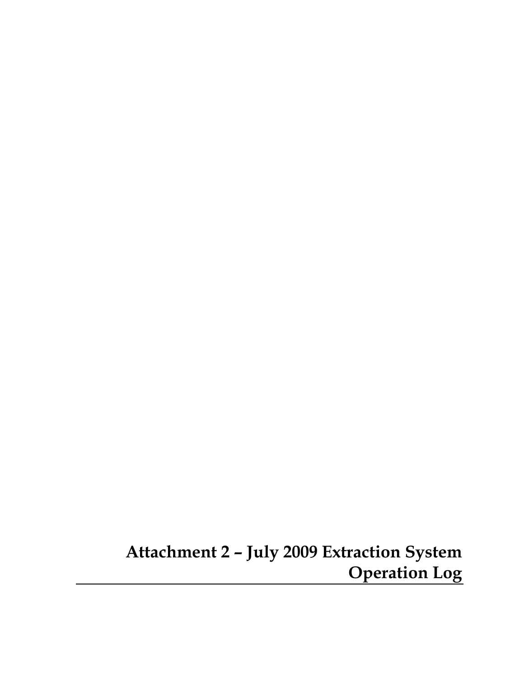**Attachment 2 – July 2009 Extraction System Operation Log**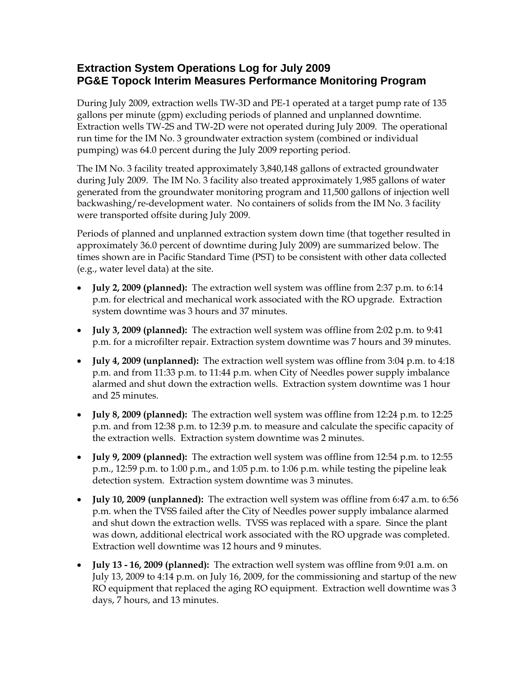### **Extraction System Operations Log for July 2009 PG&E Topock Interim Measures Performance Monitoring Program**

During July 2009, extraction wells TW-3D and PE-1 operated at a target pump rate of 135 gallons per minute (gpm) excluding periods of planned and unplanned downtime. Extraction wells TW-2S and TW-2D were not operated during July 2009. The operational run time for the IM No. 3 groundwater extraction system (combined or individual pumping) was 64.0 percent during the July 2009 reporting period.

The IM No. 3 facility treated approximately 3,840,148 gallons of extracted groundwater during July 2009. The IM No. 3 facility also treated approximately 1,985 gallons of water generated from the groundwater monitoring program and 11,500 gallons of injection well backwashing/re-development water. No containers of solids from the IM No. 3 facility were transported offsite during July 2009.

Periods of planned and unplanned extraction system down time (that together resulted in approximately 36.0 percent of downtime during July 2009) are summarized below. The times shown are in Pacific Standard Time (PST) to be consistent with other data collected (e.g., water level data) at the site.

- **July 2, 2009 (planned):** The extraction well system was offline from 2:37 p.m. to 6:14 p.m. for electrical and mechanical work associated with the RO upgrade. Extraction system downtime was 3 hours and 37 minutes.
- **July 3, 2009 (planned):** The extraction well system was offline from 2:02 p.m. to 9:41 p.m. for a microfilter repair. Extraction system downtime was 7 hours and 39 minutes.
- **July 4, 2009 (unplanned):** The extraction well system was offline from 3:04 p.m. to 4:18 p.m. and from 11:33 p.m. to 11:44 p.m. when City of Needles power supply imbalance alarmed and shut down the extraction wells. Extraction system downtime was 1 hour and 25 minutes.
- **July 8, 2009 (planned):** The extraction well system was offline from 12:24 p.m. to 12:25 p.m. and from 12:38 p.m. to 12:39 p.m. to measure and calculate the specific capacity of the extraction wells. Extraction system downtime was 2 minutes.
- **July 9, 2009 (planned):** The extraction well system was offline from 12:54 p.m. to 12:55 p.m., 12:59 p.m. to 1:00 p.m., and 1:05 p.m. to 1:06 p.m. while testing the pipeline leak detection system. Extraction system downtime was 3 minutes.
- **July 10, 2009 (unplanned):** The extraction well system was offline from 6:47 a.m. to 6:56 p.m. when the TVSS failed after the City of Needles power supply imbalance alarmed and shut down the extraction wells. TVSS was replaced with a spare. Since the plant was down, additional electrical work associated with the RO upgrade was completed. Extraction well downtime was 12 hours and 9 minutes.
- **July 13 16, 2009 (planned):** The extraction well system was offline from 9:01 a.m. on July 13, 2009 to 4:14 p.m. on July 16, 2009, for the commissioning and startup of the new RO equipment that replaced the aging RO equipment. Extraction well downtime was 3 days, 7 hours, and 13 minutes.